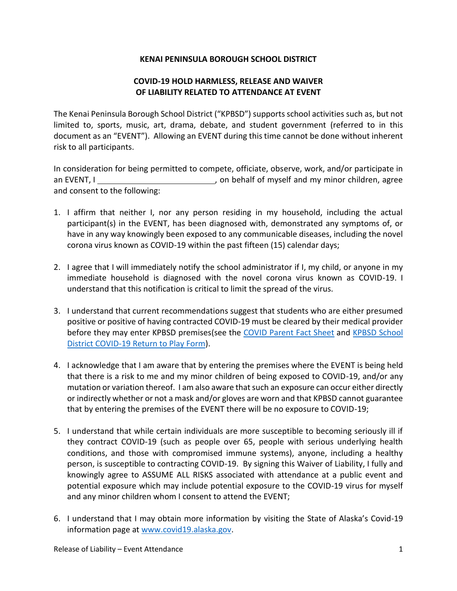## **KENAI PENINSULA BOROUGH SCHOOL DISTRICT**

## **COVID-19 HOLD HARMLESS, RELEASE AND WAIVER OF LIABILITY RELATED TO ATTENDANCE AT EVENT**

The Kenai Peninsula Borough School District ("KPBSD") supports school activities such as, but not limited to, sports, music, art, drama, debate, and student government (referred to in this document as an "EVENT"). Allowing an EVENT during this time cannot be done without inherent risk to all participants.

In consideration for being permitted to compete, officiate, observe, work, and/or participate in an EVENT, I  $\frac{1}{2}$  on behalf of myself and my minor children, agree and consent to the following:

- 1. I affirm that neither I, nor any person residing in my household, including the actual participant(s) in the EVENT, has been diagnosed with, demonstrated any symptoms of, or have in any way knowingly been exposed to any communicable diseases, including the novel corona virus known as COVID-19 within the past fifteen (15) calendar days;
- 2. I agree that I will immediately notify the school administrator if I, my child, or anyone in my immediate household is diagnosed with the novel corona virus known as COVID-19. I understand that this notification is critical to limit the spread of the virus.
- 3. I understand that current recommendations suggest that students who are either presumed positive or positive of having contracted COVID-19 must be cleared by their medical provider before they may enter KPBSD premises(see the [COVID Parent Fact Sheet](https://asaa.org/wp-content/uploads/COVID-Parent-Fact-Sheet.pdf) and [KPBSD School](https://www.kpbsd.k12.ak.us/WorkArea/DownloadAsset.aspx?id=42471)  [District COVID-19 Return to Play Form\)](https://www.kpbsd.k12.ak.us/WorkArea/DownloadAsset.aspx?id=42471).
- 4. I acknowledge that I am aware that by entering the premises where the EVENT is being held that there is a risk to me and my minor children of being exposed to COVID-19, and/or any mutation or variation thereof. I am also aware that such an exposure can occur either directly or indirectly whether or not a mask and/or gloves are worn and that KPBSD cannot guarantee that by entering the premises of the EVENT there will be no exposure to COVID-19;
- 5. I understand that while certain individuals are more susceptible to becoming seriously ill if they contract COVID-19 (such as people over 65, people with serious underlying health conditions, and those with compromised immune systems), anyone, including a healthy person, is susceptible to contracting COVID-19. By signing this Waiver of Liability, I fully and knowingly agree to ASSUME ALL RISKS associated with attendance at a public event and potential exposure which may include potential exposure to the COVID-19 virus for myself and any minor children whom I consent to attend the EVENT;
- 6. I understand that I may obtain more information by visiting the State of Alaska's Covid-19 information page at [www.covid19.alaska.gov.](http://www.covid19.alaska.gov/)